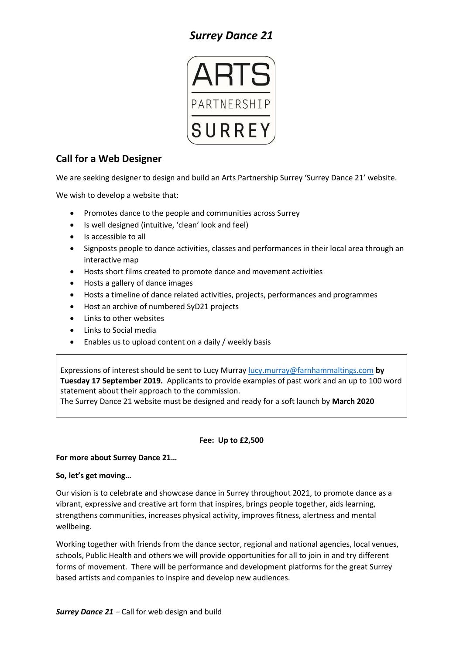# *Surrey Dance 21*



## **Call for a Web Designer**

We are seeking designer to design and build an Arts Partnership Surrey 'Surrey Dance 21' website.

We wish to develop a website that:

- Promotes dance to the people and communities across Surrey
- Is well designed (intuitive, 'clean' look and feel)
- Is accessible to all
- Signposts people to dance activities, classes and performances in their local area through an interactive map
- Hosts short films created to promote dance and movement activities
- Hosts a gallery of dance images
- Hosts a timeline of dance related activities, projects, performances and programmes
- Host an archive of numbered SyD21 projects
- Links to other websites
- Links to Social media
- Enables us to upload content on a daily / weekly basis

Expressions of interest should be sent to Lucy Murray [lucy.murray@farnhammaltings.com](mailto:lucy.murray@farnhammaltings.com) **by Tuesday 17 September 2019.** Applicants to provide examples of past work and an up to 100 word statement about their approach to the commission.

The Surrey Dance 21 website must be designed and ready for a soft launch by **March 2020**

### **Fee: Up to £2,500**

### **For more about Surrey Dance 21…**

### **So, let's get moving…**

Our vision is to celebrate and showcase dance in Surrey throughout 2021, to promote dance as a vibrant, expressive and creative art form that inspires, brings people together, aids learning, strengthens communities, increases physical activity, improves fitness, alertness and mental wellbeing.

Working together with friends from the dance sector, regional and national agencies, local venues, schools, Public Health and others we will provide opportunities for all to join in and try different forms of movement. There will be performance and development platforms for the great Surrey based artists and companies to inspire and develop new audiences.